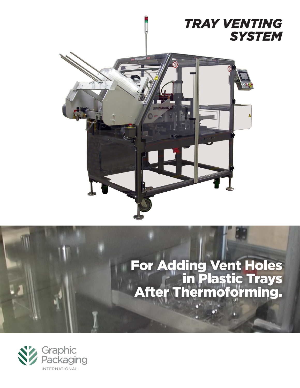